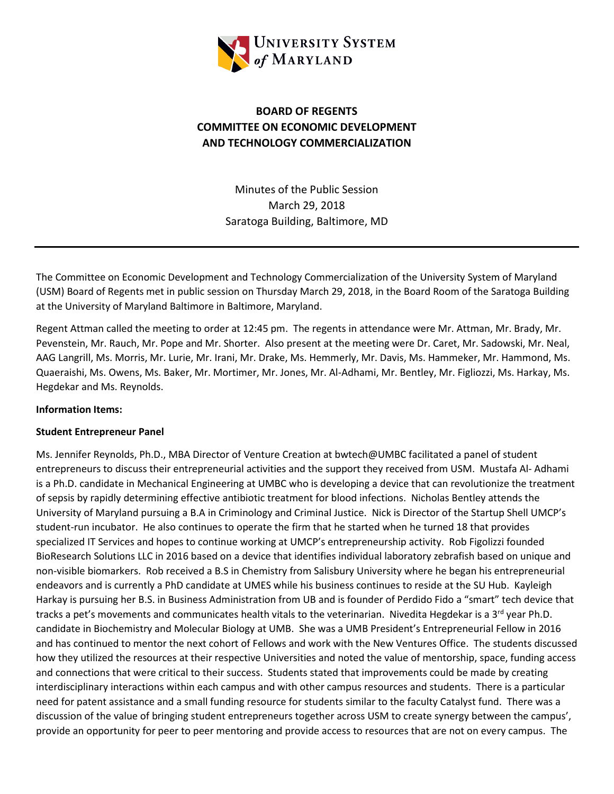

# **BOARD OF REGENTS COMMITTEE ON ECONOMIC DEVELOPMENT AND TECHNOLOGY COMMERCIALIZATION**

Minutes of the Public Session March 29, 2018 Saratoga Building, Baltimore, MD

The Committee on Economic Development and Technology Commercialization of the University System of Maryland (USM) Board of Regents met in public session on Thursday March 29, 2018, in the Board Room of the Saratoga Building at the University of Maryland Baltimore in Baltimore, Maryland.

Regent Attman called the meeting to order at 12:45 pm. The regents in attendance were Mr. Attman, Mr. Brady, Mr. Pevenstein, Mr. Rauch, Mr. Pope and Mr. Shorter. Also present at the meeting were Dr. Caret, Mr. Sadowski, Mr. Neal, AAG Langrill, Ms. Morris, Mr. Lurie, Mr. Irani, Mr. Drake, Ms. Hemmerly, Mr. Davis, Ms. Hammeker, Mr. Hammond, Ms. Quaeraishi, Ms. Owens, Ms. Baker, Mr. Mortimer, Mr. Jones, Mr. Al-Adhami, Mr. Bentley, Mr. Figliozzi, Ms. Harkay, Ms. Hegdekar and Ms. Reynolds.

#### **Information Items:**

#### **Student Entrepreneur Panel**

Ms. Jennifer Reynolds, Ph.D., MBA Director of Venture Creation at bwtech@UMBC facilitated a panel of student entrepreneurs to discuss their entrepreneurial activities and the support they received from USM. Mustafa Al- Adhami is a Ph.D. candidate in Mechanical Engineering at UMBC who is developing a device that can revolutionize the treatment of sepsis by rapidly determining effective antibiotic treatment for blood infections. Nicholas Bentley attends the University of Maryland pursuing a B.A in Criminology and Criminal Justice. Nick is Director of the Startup Shell UMCP's student-run incubator. He also continues to operate the firm that he started when he turned 18 that provides specialized IT Services and hopes to continue working at UMCP's entrepreneurship activity. Rob Figolizzi founded BioResearch Solutions LLC in 2016 based on a device that identifies individual laboratory zebrafish based on unique and non-visible biomarkers. Rob received a B.S in Chemistry from Salisbury University where he began his entrepreneurial endeavors and is currently a PhD candidate at UMES while his business continues to reside at the SU Hub. Kayleigh Harkay is pursuing her B.S. in Business Administration from UB and is founder of Perdido Fido a "smart" tech device that tracks a pet's movements and communicates health vitals to the veterinarian. Nivedita Hegdekar is a 3<sup>rd</sup> year Ph.D. candidate in Biochemistry and Molecular Biology at UMB. She was a UMB President's Entrepreneurial Fellow in 2016 and has continued to mentor the next cohort of Fellows and work with the New Ventures Office. The students discussed how they utilized the resources at their respective Universities and noted the value of mentorship, space, funding access and connections that were critical to their success. Students stated that improvements could be made by creating interdisciplinary interactions within each campus and with other campus resources and students. There is a particular need for patent assistance and a small funding resource for students similar to the faculty Catalyst fund. There was a discussion of the value of bringing student entrepreneurs together across USM to create synergy between the campus', provide an opportunity for peer to peer mentoring and provide access to resources that are not on every campus. The